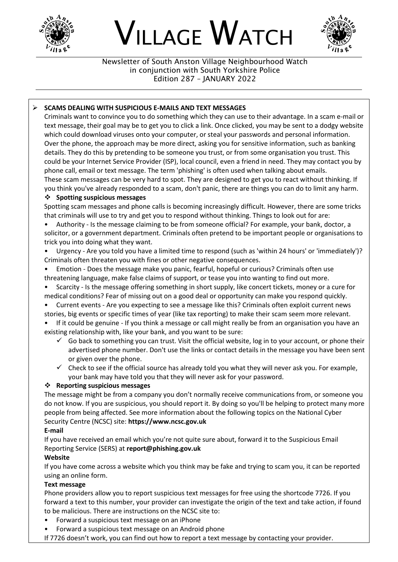

# VILLAGE WATCH



Newsletter of South Anston Village Neighbourhood Watch in conjunction with South Yorkshire Police Edition 287 – JANUARY 2022

## ➢ **SCAMS DEALING WITH SUSPICIOUS E-MAILS AND TEXT MESSAGES**

Criminals want to convince you to do something which they can use to their advantage. In a scam e-mail or text message, their goal may be to get you to click a link. Once clicked, you may be sent to a dodgy website which could download viruses onto your computer, or steal your passwords and personal information. Over the phone, the approach may be more direct, asking you for sensitive information, such as banking details. They do this by pretending to be someone you trust, or from some organisation you trust. This could be your Internet Service Provider (ISP), local council, even a friend in need. They may contact you by phone call, email or text message. The term 'phishing' is often used when talking about emails. These scam messages can be very hard to spot. They are designed to get you to react without thinking. If you think you've already responded to a scam, don't panic, there are things you can do to limit any harm.

## ❖ **Spotting suspicious messages**

Spotting scam messages and phone calls is becoming increasingly difficult. However, there are some tricks that criminals will use to try and get you to respond without thinking. Things to look out for are:

- Authority Is the message claiming to be from someone official? For example, your bank, doctor, a solicitor, or a government department. Criminals often pretend to be important people or organisations to trick you into doing what they want.
- Urgency Are you told you have a limited time to respond (such as 'within 24 hours' or 'immediately')? Criminals often threaten you with fines or other negative consequences.
- Emotion Does the message make you panic, fearful, hopeful or curious? Criminals often use
- threatening language, make false claims of support, or tease you into wanting to find out more.
- Scarcity Is the message offering something in short supply, like concert tickets, money or a cure for medical conditions? Fear of missing out on a good deal or opportunity can make you respond quickly.
- Current events Are you expecting to see a message like this? Criminals often exploit current news stories, big events or specific times of year (like tax reporting) to make their scam seem more relevant.
- If it could be genuine If you think a message or call might really be from an organisation you have an existing relationship with, like your bank, and you want to be sure:
	- $\checkmark$  Go back to something you can trust. Visit the official website, log in to your account, or phone their advertised phone number. Don't use the links or contact details in the message you have been sent or given over the phone.
	- $\checkmark$  Check to see if the official source has already told you what they will never ask you. For example, your bank may have told you that they will never ask for your password.

### ❖ **Reporting suspicious messages**

The message might be from a company you don't normally receive communications from, or someone you do not know. If you are suspicious, you should report it. By doing so you'll be helping to protect many more people from being affected. See more information about the following topics on the National Cyber Security Centre (NCSC) site: **https://www.ncsc.gov.uk**

### **E-mail**

If you have received an email which you're not quite sure about, forward it to the Suspicious Email Reporting Service (SERS) at **report@phishing.gov.uk**

### **Website**

If you have come across a website which you think may be fake and trying to scam you, it can be reported using an online form.

### **Text message**

Phone providers allow you to report suspicious text messages for free using the shortcode 7726. If you forward a text to this number, your provider can investigate the origin of the text and take action, if found to be malicious. There are instructions on the NCSC site to:

- Forward a suspicious text message on an iPhone
- Forward a suspicious text message on an Android phone

If 7726 doesn't work, you can find out how to report a text message by contacting your provider.